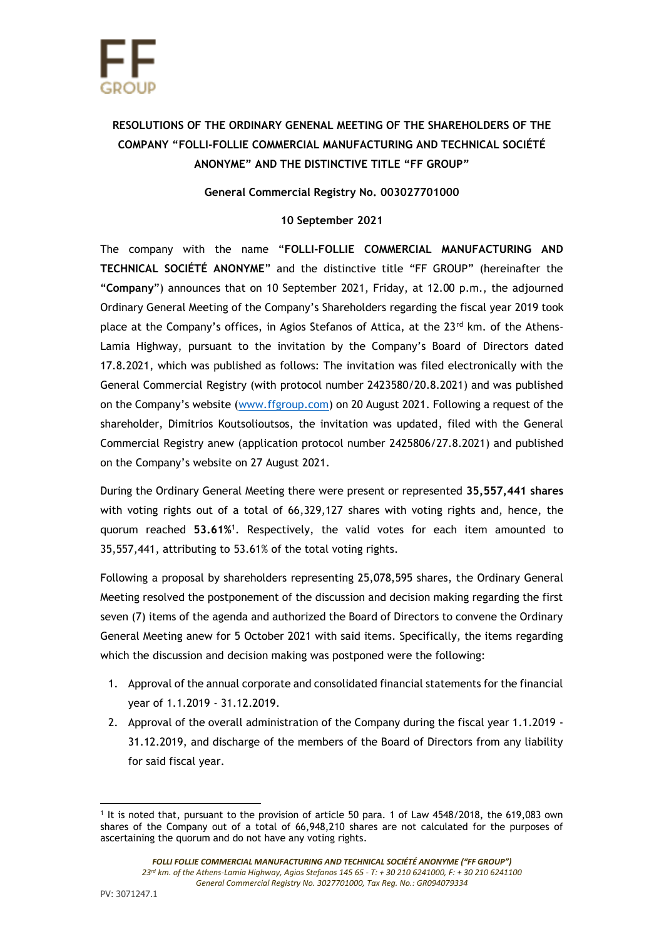## **RESOLUTIONS OF THE ORDINARY GENENAL MEETING OF THE SHAREHOLDERS OF THE COMPANY "FOLLI-FOLLIE COMMERCIAL MANUFACTURING AND TECHNICAL SOCIÉTÉ ANONYME" AND THE DISTINCTIVE TITLE "FF GROUP"**

## **General Commercial Registry No. 003027701000**

## **10 September 2021**

The company with the name "**FOLLI-FOLLIE COMMERCIAL MANUFACTURING AND TECHNICAL SOCIÉTÉ ANONYME**" and the distinctive title "FF GROUP" (hereinafter the "**Company**") announces that on 10 September 2021, Friday, at 12.00 p.m., the adjourned Ordinary General Meeting of the Company's Shareholders regarding the fiscal year 2019 took place at the Company's offices, in Agios Stefanos of Attica, at the  $23<sup>rd</sup>$  km. of the Athens-Lamia Highway, pursuant to the invitation by the Company's Board of Directors dated 17.8.2021, which was published as follows: The invitation was filed electronically with the General Commercial Registry (with protocol number 2423580/20.8.2021) and was published on the Company's website ([www.ffgroup.com\)](http://www.ffgroup.com/) on 20 August 2021. Following a request of the shareholder, Dimitrios Koutsolioutsos, the invitation was updated, filed with the General Commercial Registry anew (application protocol number 2425806/27.8.2021) and published on the Company's website on 27 August 2021.

During the Ordinary General Meeting there were present or represented **35,557,441 shares**  with voting rights out of a total of 66,329,127 shares with voting rights and, hence, the quorum reached **53.61%** 1 . Respectively, the valid votes for each item amounted to 35,557,441, attributing to 53.61% of the total voting rights.

Following a proposal by shareholders representing 25,078,595 shares, the Ordinary General Meeting resolved the postponement of the discussion and decision making regarding the first seven (7) items of the agenda and authorized the Board of Directors to convene the Ordinary General Meeting anew for 5 October 2021 with said items. Specifically, the items regarding which the discussion and decision making was postponed were the following:

- 1. Approval of the annual corporate and consolidated financial statements for the financial year of 1.1.2019 - 31.12.2019.
- 2. Approval of the overall administration of the Company during the fiscal year 1.1.2019 31.12.2019, and discharge of the members of the Board of Directors from any liability for said fiscal year.

<sup>1</sup> It is noted that, pursuant to the provision of article 50 para. 1 of Law 4548/2018, the 619,083 own shares of the Company out of a total of 66,948,210 shares are not calculated for the purposes of ascertaining the quorum and do not have any voting rights.